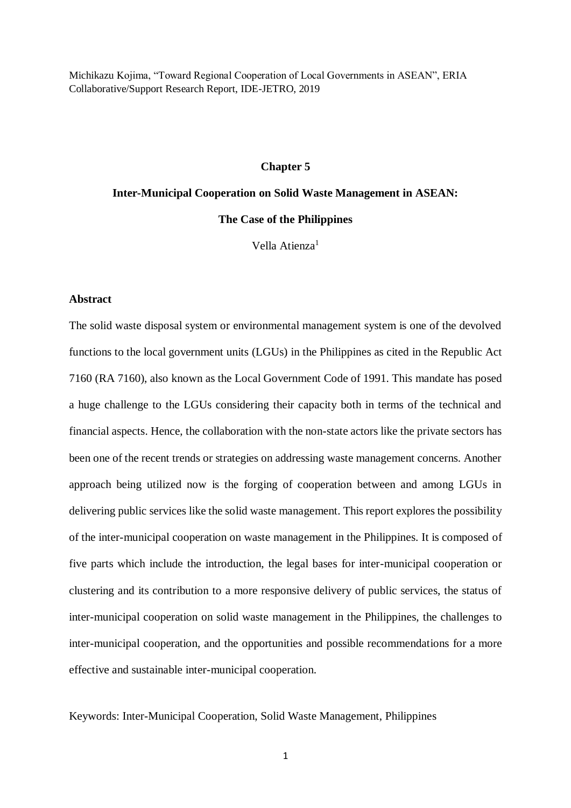Michikazu Kojima, "Toward Regional Cooperation of Local Governments in ASEAN", ERIA Collaborative/Support Research Report, IDE-JETRO, 2019

#### **Chapter 5**

# **Inter-Municipal Cooperation on Solid Waste Management in ASEAN: The Case of the Philippines**

Vella Atienza<sup>1</sup>

## **Abstract**

The solid waste disposal system or environmental management system is one of the devolved functions to the local government units (LGUs) in the Philippines as cited in the Republic Act 7160 (RA 7160), also known as the Local Government Code of 1991. This mandate has posed a huge challenge to the LGUs considering their capacity both in terms of the technical and financial aspects. Hence, the collaboration with the non-state actors like the private sectors has been one of the recent trends or strategies on addressing waste management concerns. Another approach being utilized now is the forging of cooperation between and among LGUs in delivering public services like the solid waste management. This report explores the possibility of the inter-municipal cooperation on waste management in the Philippines. It is composed of five parts which include the introduction, the legal bases for inter-municipal cooperation or clustering and its contribution to a more responsive delivery of public services, the status of inter-municipal cooperation on solid waste management in the Philippines, the challenges to inter-municipal cooperation, and the opportunities and possible recommendations for a more effective and sustainable inter-municipal cooperation.

Keywords: Inter-Municipal Cooperation, Solid Waste Management, Philippines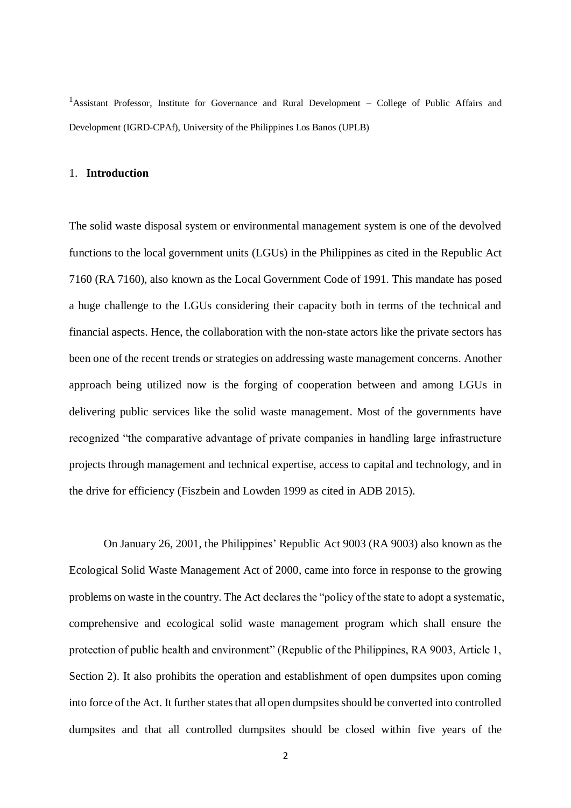<sup>1</sup>Assistant Professor, Institute for Governance and Rural Development – College of Public Affairs and Development (IGRD-CPAf), University of the Philippines Los Banos (UPLB)

## 1. **Introduction**

The solid waste disposal system or environmental management system is one of the devolved functions to the local government units (LGUs) in the Philippines as cited in the Republic Act 7160 (RA 7160), also known as the Local Government Code of 1991. This mandate has posed a huge challenge to the LGUs considering their capacity both in terms of the technical and financial aspects. Hence, the collaboration with the non-state actors like the private sectors has been one of the recent trends or strategies on addressing waste management concerns. Another approach being utilized now is the forging of cooperation between and among LGUs in delivering public services like the solid waste management. Most of the governments have recognized "the comparative advantage of private companies in handling large infrastructure projects through management and technical expertise, access to capital and technology, and in the drive for efficiency (Fiszbein and Lowden 1999 as cited in ADB 2015).

On January 26, 2001, the Philippines' Republic Act 9003 (RA 9003) also known as the Ecological Solid Waste Management Act of 2000, came into force in response to the growing problems on waste in the country. The Act declares the "policy of the state to adopt a systematic, comprehensive and ecological solid waste management program which shall ensure the protection of public health and environment" (Republic of the Philippines, RA 9003, Article 1, Section 2). It also prohibits the operation and establishment of open dumpsites upon coming into force of the Act. It further states that all open dumpsites should be converted into controlled dumpsites and that all controlled dumpsites should be closed within five years of the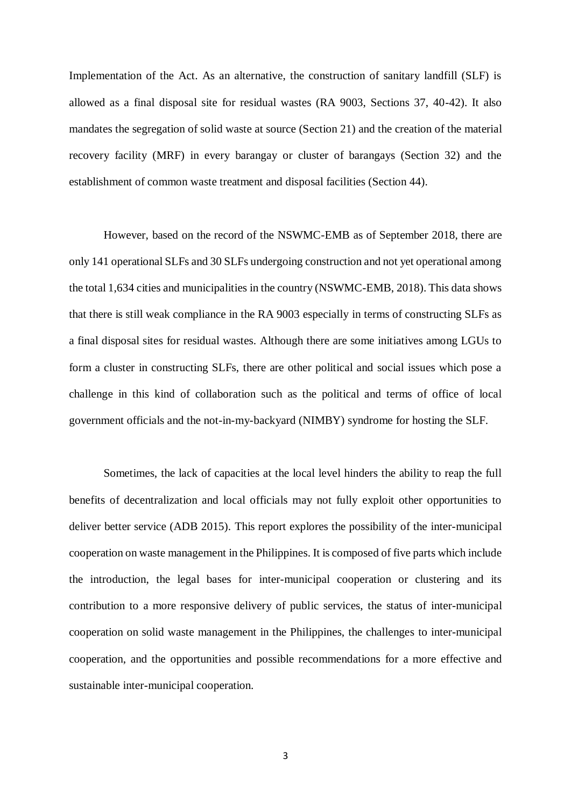Implementation of the Act. As an alternative, the construction of sanitary landfill (SLF) is allowed as a final disposal site for residual wastes (RA 9003, Sections 37, 40-42). It also mandates the segregation of solid waste at source (Section 21) and the creation of the material recovery facility (MRF) in every barangay or cluster of barangays (Section 32) and the establishment of common waste treatment and disposal facilities (Section 44).

However, based on the record of the NSWMC-EMB as of September 2018, there are only 141 operational SLFs and 30 SLFs undergoing construction and not yet operational among the total 1,634 cities and municipalities in the country (NSWMC-EMB, 2018). This data shows that there is still weak compliance in the RA 9003 especially in terms of constructing SLFs as a final disposal sites for residual wastes. Although there are some initiatives among LGUs to form a cluster in constructing SLFs, there are other political and social issues which pose a challenge in this kind of collaboration such as the political and terms of office of local government officials and the not-in-my-backyard (NIMBY) syndrome for hosting the SLF.

Sometimes, the lack of capacities at the local level hinders the ability to reap the full benefits of decentralization and local officials may not fully exploit other opportunities to deliver better service (ADB 2015). This report explores the possibility of the inter-municipal cooperation on waste management in the Philippines. It is composed of five parts which include the introduction, the legal bases for inter-municipal cooperation or clustering and its contribution to a more responsive delivery of public services, the status of inter-municipal cooperation on solid waste management in the Philippines, the challenges to inter-municipal cooperation, and the opportunities and possible recommendations for a more effective and sustainable inter-municipal cooperation.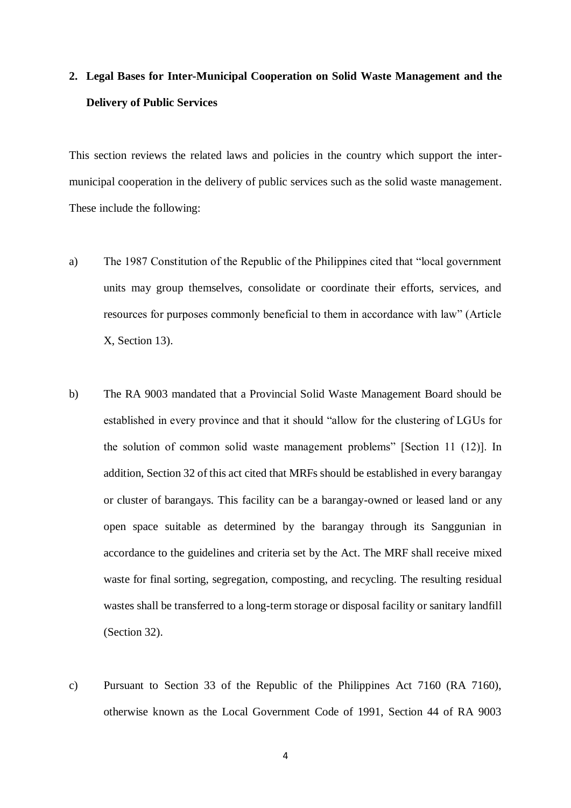## **2. Legal Bases for Inter-Municipal Cooperation on Solid Waste Management and the Delivery of Public Services**

This section reviews the related laws and policies in the country which support the intermunicipal cooperation in the delivery of public services such as the solid waste management. These include the following:

- a) The 1987 Constitution of the Republic of the Philippines cited that "local government units may group themselves, consolidate or coordinate their efforts, services, and resources for purposes commonly beneficial to them in accordance with law" (Article X, Section 13).
- b) The RA 9003 mandated that a Provincial Solid Waste Management Board should be established in every province and that it should "allow for the clustering of LGUs for the solution of common solid waste management problems" [Section 11 (12)]. In addition, Section 32 of this act cited that MRFs should be established in every barangay or cluster of barangays. This facility can be a barangay-owned or leased land or any open space suitable as determined by the barangay through its Sanggunian in accordance to the guidelines and criteria set by the Act. The MRF shall receive mixed waste for final sorting, segregation, composting, and recycling. The resulting residual wastes shall be transferred to a long-term storage or disposal facility or sanitary landfill (Section 32).
- c) Pursuant to Section 33 of the Republic of the Philippines Act 7160 (RA 7160), otherwise known as the Local Government Code of 1991, Section 44 of RA 9003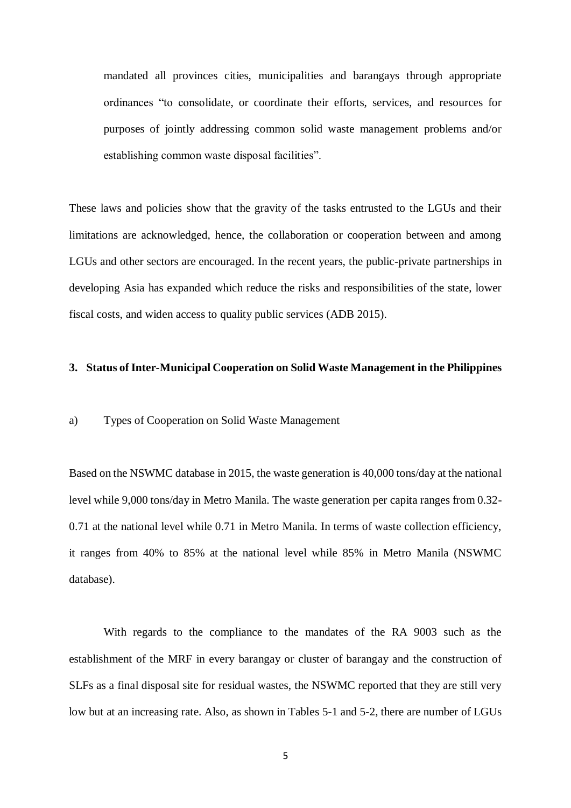mandated all provinces cities, municipalities and barangays through appropriate ordinances "to consolidate, or coordinate their efforts, services, and resources for purposes of jointly addressing common solid waste management problems and/or establishing common waste disposal facilities".

These laws and policies show that the gravity of the tasks entrusted to the LGUs and their limitations are acknowledged, hence, the collaboration or cooperation between and among LGUs and other sectors are encouraged. In the recent years, the public-private partnerships in developing Asia has expanded which reduce the risks and responsibilities of the state, lower fiscal costs, and widen access to quality public services (ADB 2015).

## **3. Status of Inter-Municipal Cooperation on Solid Waste Management in the Philippines**

### a) Types of Cooperation on Solid Waste Management

Based on the NSWMC database in 2015, the waste generation is 40,000 tons/day at the national level while 9,000 tons/day in Metro Manila. The waste generation per capita ranges from 0.32- 0.71 at the national level while 0.71 in Metro Manila. In terms of waste collection efficiency, it ranges from 40% to 85% at the national level while 85% in Metro Manila (NSWMC database).

With regards to the compliance to the mandates of the RA 9003 such as the establishment of the MRF in every barangay or cluster of barangay and the construction of SLFs as a final disposal site for residual wastes, the NSWMC reported that they are still very low but at an increasing rate. Also, as shown in Tables 5-1 and 5-2, there are number of LGUs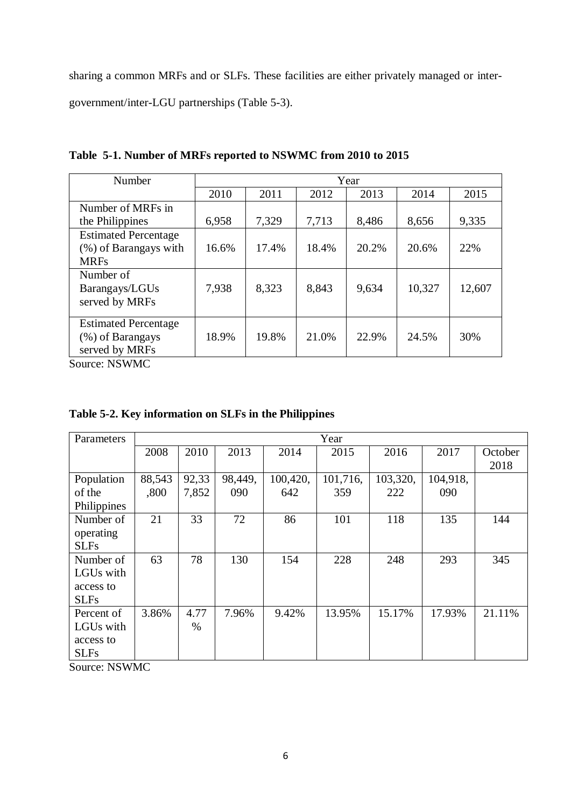sharing a common MRFs and or SLFs. These facilities are either privately managed or intergovernment/inter-LGU partnerships (Table 5-3).

| Number                      | Year  |       |       |       |        |        |
|-----------------------------|-------|-------|-------|-------|--------|--------|
|                             | 2010  | 2011  | 2012  | 2013  | 2014   | 2015   |
| Number of MRFs in           |       |       |       |       |        |        |
| the Philippines             | 6,958 | 7,329 | 7,713 | 8,486 | 8,656  | 9,335  |
| <b>Estimated Percentage</b> |       |       |       |       |        |        |
| (%) of Barangays with       | 16.6% | 17.4% | 18.4% | 20.2% | 20.6%  | 22%    |
| <b>MRFs</b>                 |       |       |       |       |        |        |
| Number of                   |       |       |       |       |        |        |
| Barangays/LGUs              | 7,938 | 8,323 | 8,843 | 9,634 | 10,327 | 12,607 |
| served by MRFs              |       |       |       |       |        |        |
|                             |       |       |       |       |        |        |
| <b>Estimated Percentage</b> |       |       |       |       |        |        |
| (%) of Barangays            | 18.9% | 19.8% | 21.0% | 22.9% | 24.5%  | 30%    |
| served by MRFs              |       |       |       |       |        |        |

**Table 5-1. Number of MRFs reported to NSWMC from 2010 to 2015**

Source: NSWMC

|  |  |  |  |  | Table 5-2. Key information on SLFs in the Philippines |
|--|--|--|--|--|-------------------------------------------------------|
|--|--|--|--|--|-------------------------------------------------------|

| Parameters  |        |       |         |          | Year     |          |          |         |
|-------------|--------|-------|---------|----------|----------|----------|----------|---------|
|             | 2008   | 2010  | 2013    | 2014     | 2015     | 2016     | 2017     | October |
|             |        |       |         |          |          |          |          | 2018    |
| Population  | 88,543 | 92,33 | 98,449, | 100,420, | 101,716, | 103,320, | 104,918, |         |
| of the      | ,800   | 7,852 | 090     | 642      | 359      | 222      | 090      |         |
| Philippines |        |       |         |          |          |          |          |         |
| Number of   | 21     | 33    | 72      | 86       | 101      | 118      | 135      | 144     |
| operating   |        |       |         |          |          |          |          |         |
| <b>SLFs</b> |        |       |         |          |          |          |          |         |
| Number of   | 63     | 78    | 130     | 154      | 228      | 248      | 293      | 345     |
| LGUs with   |        |       |         |          |          |          |          |         |
| access to   |        |       |         |          |          |          |          |         |
| <b>SLFs</b> |        |       |         |          |          |          |          |         |
| Percent of  | 3.86%  | 4.77  | 7.96%   | 9.42%    | 13.95%   | 15.17%   | 17.93%   | 21.11%  |
| LGUs with   |        | %     |         |          |          |          |          |         |
| access to   |        |       |         |          |          |          |          |         |
| <b>SLFs</b> |        |       |         |          |          |          |          |         |

Source: NSWMC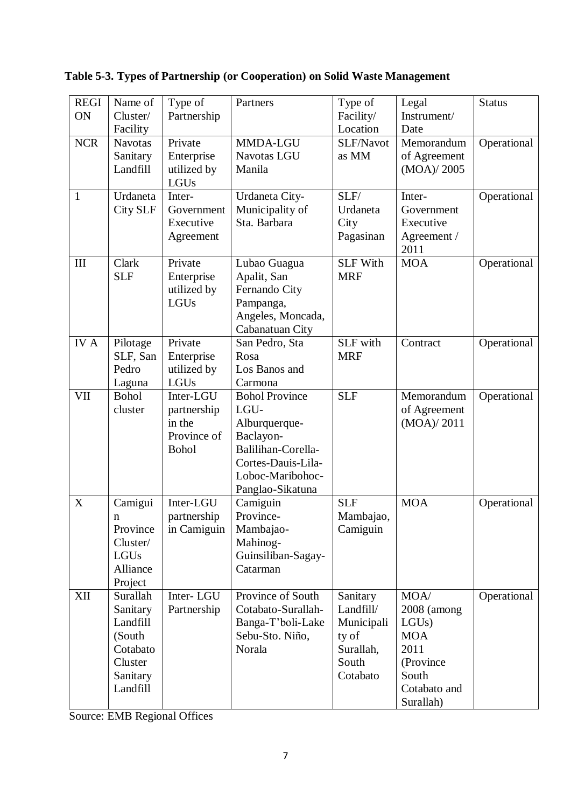| <b>REGI</b>  | Name of        | Type of               | Partners                   | Type of         | Legal         | <b>Status</b> |
|--------------|----------------|-----------------------|----------------------------|-----------------|---------------|---------------|
| ON           | Cluster/       | Partnership           |                            | Facility/       | Instrument/   |               |
|              | Facility       |                       |                            | Location        | Date          |               |
| <b>NCR</b>   | <b>Navotas</b> | Private               | MMDA-LGU                   | SLF/Navot       | Memorandum    | Operational   |
|              | Sanitary       | Enterprise            | Navotas LGU                | as MM           | of Agreement  |               |
|              | Landfill       | utilized by<br>LGUs   | Manila                     |                 | (MOA)/2005    |               |
| $\mathbf{1}$ | Urdaneta       | Inter-                | Urdaneta City-             | SLF/            | Inter-        | Operational   |
|              | City SLF       | Government            | Municipality of            | Urdaneta        | Government    |               |
|              |                | Executive             | Sta. Barbara               | City            | Executive     |               |
|              |                | Agreement             |                            | Pagasinan       | Agreement /   |               |
|              |                |                       |                            |                 | 2011          |               |
| III          | Clark          | Private               | Lubao Guagua               | <b>SLF With</b> | <b>MOA</b>    | Operational   |
|              | <b>SLF</b>     | Enterprise            | Apalit, San                | <b>MRF</b>      |               |               |
|              |                | utilized by           | Fernando City              |                 |               |               |
|              |                | LGUs                  | Pampanga,                  |                 |               |               |
|              |                |                       | Angeles, Moncada,          |                 |               |               |
|              |                |                       | Cabanatuan City            |                 |               |               |
| <b>IVA</b>   | Pilotage       | Private               | San Pedro, Sta             | SLF with        | Contract      | Operational   |
|              | SLF, San       | Enterprise            | Rosa                       | <b>MRF</b>      |               |               |
|              | Pedro          | utilized by           | Los Banos and              |                 |               |               |
|              | Laguna         | LGUs                  | Carmona                    |                 |               |               |
| <b>VII</b>   | <b>Bohol</b>   | Inter-LGU             | <b>Bohol Province</b>      | <b>SLF</b>      | Memorandum    | Operational   |
|              | cluster        | partnership           | LGU-                       |                 | of Agreement  |               |
|              |                | in the<br>Province of | Alburquerque-<br>Baclayon- |                 | (MOA)/2011    |               |
|              |                | <b>Bohol</b>          | Balilihan-Corella-         |                 |               |               |
|              |                |                       | Cortes-Dauis-Lila-         |                 |               |               |
|              |                |                       | Loboc-Maribohoc-           |                 |               |               |
|              |                |                       | Panglao-Sikatuna           |                 |               |               |
| X            | Camigui        | Inter-LGU             | Camiguin                   | <b>SLF</b>      | <b>MOA</b>    | Operational   |
|              | n              | partnership           | Province-                  | Mambajao,       |               |               |
|              | Province       | in Camiguin           | Mambajao-                  | Camiguin        |               |               |
|              | Cluster/       |                       | Mahinog-                   |                 |               |               |
|              | LGUs           |                       | Guinsiliban-Sagay-         |                 |               |               |
|              | Alliance       |                       | Catarman                   |                 |               |               |
|              | Project        |                       |                            |                 |               |               |
| XII          | Surallah       | Inter-LGU             | Province of South          | Sanitary        | MOA/          | Operational   |
|              | Sanitary       | Partnership           | Cotabato-Surallah-         | Landfill/       | $2008$ (among |               |
|              | Landfill       |                       | Banga-T'boli-Lake          | Municipali      | LGUs          |               |
|              | (South         |                       | Sebu-Sto. Niño,            | ty of           | <b>MOA</b>    |               |
|              | Cotabato       |                       | Norala                     | Surallah,       | 2011          |               |
|              | Cluster        |                       |                            | South           | (Province     |               |
|              | Sanitary       |                       |                            | Cotabato        | South         |               |
|              | Landfill       |                       |                            |                 | Cotabato and  |               |
|              |                |                       |                            |                 | Surallah)     |               |

**Table 5-3. Types of Partnership (or Cooperation) on Solid Waste Management**

Source: EMB Regional Offices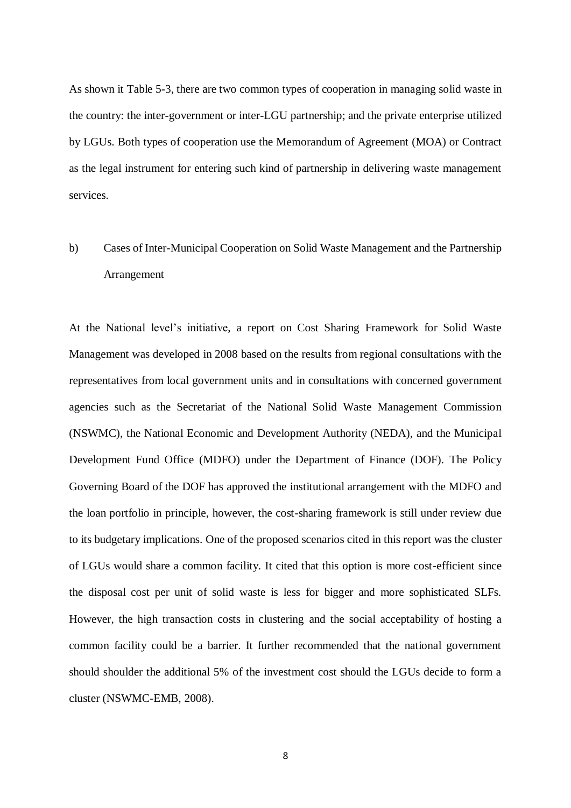As shown it Table 5-3, there are two common types of cooperation in managing solid waste in the country: the inter-government or inter-LGU partnership; and the private enterprise utilized by LGUs. Both types of cooperation use the Memorandum of Agreement (MOA) or Contract as the legal instrument for entering such kind of partnership in delivering waste management services.

## b) Cases of Inter-Municipal Cooperation on Solid Waste Management and the Partnership Arrangement

At the National level's initiative, a report on Cost Sharing Framework for Solid Waste Management was developed in 2008 based on the results from regional consultations with the representatives from local government units and in consultations with concerned government agencies such as the Secretariat of the National Solid Waste Management Commission (NSWMC), the National Economic and Development Authority (NEDA), and the Municipal Development Fund Office (MDFO) under the Department of Finance (DOF). The Policy Governing Board of the DOF has approved the institutional arrangement with the MDFO and the loan portfolio in principle, however, the cost-sharing framework is still under review due to its budgetary implications. One of the proposed scenarios cited in this report was the cluster of LGUs would share a common facility. It cited that this option is more cost-efficient since the disposal cost per unit of solid waste is less for bigger and more sophisticated SLFs. However, the high transaction costs in clustering and the social acceptability of hosting a common facility could be a barrier. It further recommended that the national government should shoulder the additional 5% of the investment cost should the LGUs decide to form a cluster (NSWMC-EMB, 2008).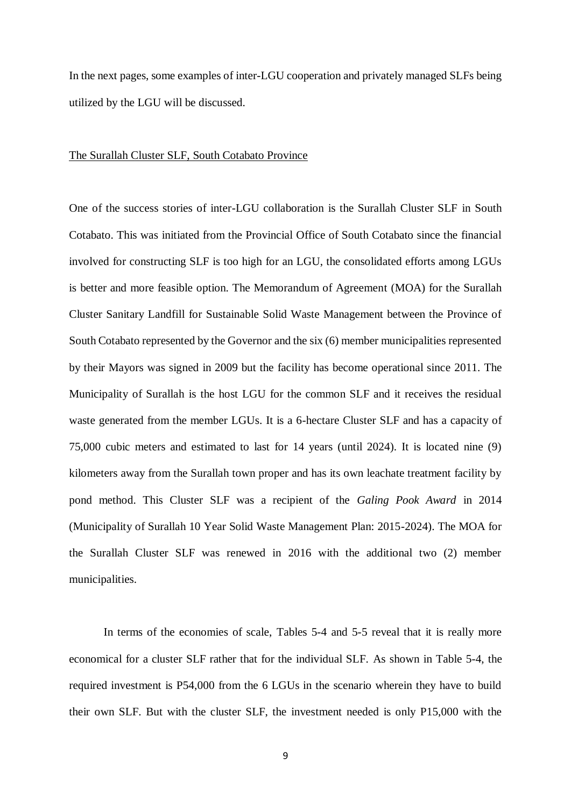In the next pages, some examples of inter-LGU cooperation and privately managed SLFs being utilized by the LGU will be discussed.

#### The Surallah Cluster SLF, South Cotabato Province

One of the success stories of inter-LGU collaboration is the Surallah Cluster SLF in South Cotabato. This was initiated from the Provincial Office of South Cotabato since the financial involved for constructing SLF is too high for an LGU, the consolidated efforts among LGUs is better and more feasible option. The Memorandum of Agreement (MOA) for the Surallah Cluster Sanitary Landfill for Sustainable Solid Waste Management between the Province of South Cotabato represented by the Governor and the six (6) member municipalities represented by their Mayors was signed in 2009 but the facility has become operational since 2011. The Municipality of Surallah is the host LGU for the common SLF and it receives the residual waste generated from the member LGUs. It is a 6-hectare Cluster SLF and has a capacity of 75,000 cubic meters and estimated to last for 14 years (until 2024). It is located nine (9) kilometers away from the Surallah town proper and has its own leachate treatment facility by pond method. This Cluster SLF was a recipient of the *Galing Pook Award* in 2014 (Municipality of Surallah 10 Year Solid Waste Management Plan: 2015-2024). The MOA for the Surallah Cluster SLF was renewed in 2016 with the additional two (2) member municipalities.

In terms of the economies of scale, Tables 5-4 and 5-5 reveal that it is really more economical for a cluster SLF rather that for the individual SLF. As shown in Table 5-4, the required investment is P54,000 from the 6 LGUs in the scenario wherein they have to build their own SLF. But with the cluster SLF, the investment needed is only P15,000 with the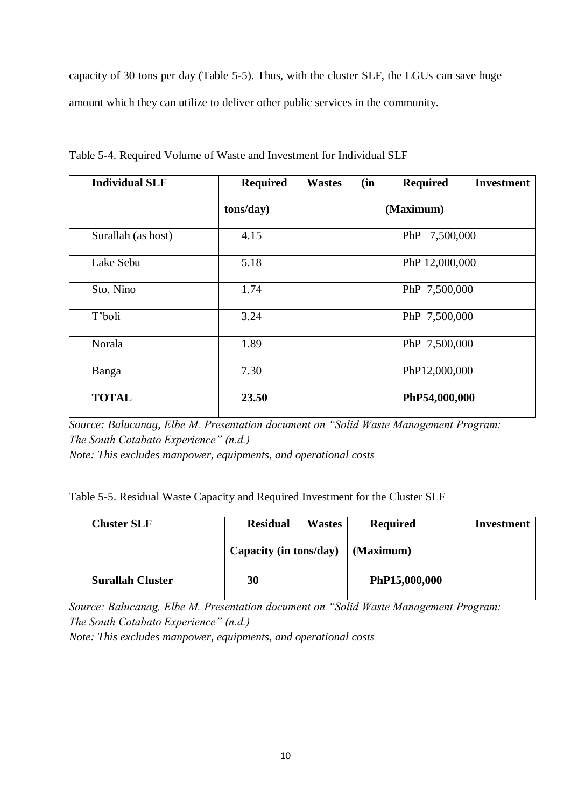capacity of 30 tons per day (Table 5-5). Thus, with the cluster SLF, the LGUs can save huge amount which they can utilize to deliver other public services in the community.

| <b>Individual SLF</b> | <b>Required</b> | (in<br><b>Wastes</b> | <b>Required</b><br><b>Investment</b> |
|-----------------------|-----------------|----------------------|--------------------------------------|
|                       | tons/day)       |                      | (Maximum)                            |
| Surallah (as host)    | 4.15            |                      | PhP 7,500,000                        |
| Lake Sebu             | 5.18            |                      | PhP 12,000,000                       |
| Sto. Nino             | 1.74            |                      | PhP 7,500,000                        |
| T'boli                | 3.24            |                      | PhP 7,500,000                        |
| Norala                | 1.89            |                      | PhP 7,500,000                        |
| Banga                 | 7.30            |                      | PhP12,000,000                        |
| <b>TOTAL</b>          | 23.50           |                      | PhP54,000,000                        |

Table 5-4. Required Volume of Waste and Investment for Individual SLF

*Source: Balucanag, Elbe M. Presentation document on "Solid Waste Management Program: The South Cotabato Experience" (n.d.)*

*Note: This excludes manpower, equipments, and operational costs* 

| Table 5-5. Residual Waste Capacity and Required Investment for the Cluster SLF |  |  |  |  |  |
|--------------------------------------------------------------------------------|--|--|--|--|--|
|--------------------------------------------------------------------------------|--|--|--|--|--|

| <b>Cluster SLF</b>      | <b>Residual</b><br><b>Wastes</b>         | <b>Required</b> | Investment |
|-------------------------|------------------------------------------|-----------------|------------|
|                         | Capacity (in tons/day) $\vert$ (Maximum) |                 |            |
| <b>Surallah Cluster</b> | 30                                       | PhP15,000,000   |            |

*Source: Balucanag, Elbe M. Presentation document on "Solid Waste Management Program: The South Cotabato Experience" (n.d.)*

*Note: This excludes manpower, equipments, and operational costs*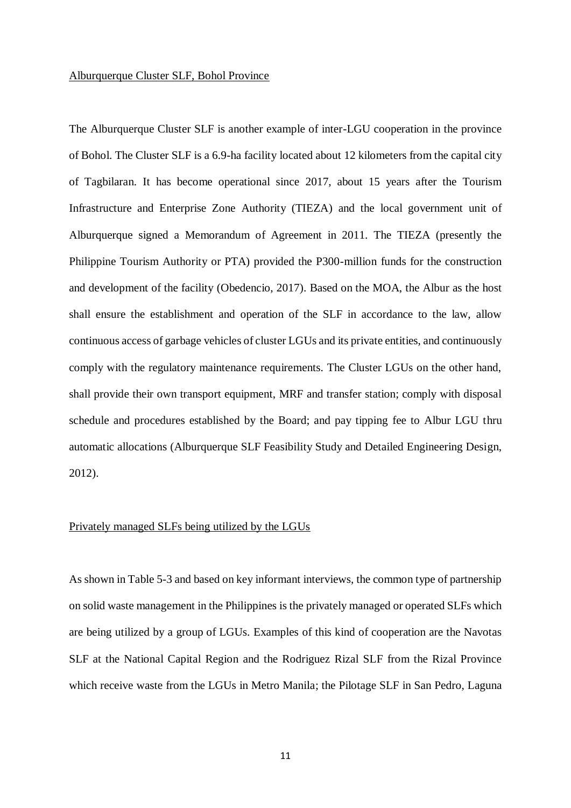#### Alburquerque Cluster SLF, Bohol Province

The Alburquerque Cluster SLF is another example of inter-LGU cooperation in the province of Bohol. The Cluster SLF is a 6.9-ha facility located about 12 kilometers from the capital city of Tagbilaran. It has become operational since 2017, about 15 years after the Tourism Infrastructure and Enterprise Zone Authority (TIEZA) and the local government unit of Alburquerque signed a Memorandum of Agreement in 2011. The TIEZA (presently the Philippine Tourism Authority or PTA) provided the P300-million funds for the construction and development of the facility (Obedencio, 2017). Based on the MOA, the Albur as the host shall ensure the establishment and operation of the SLF in accordance to the law, allow continuous access of garbage vehicles of cluster LGUs and its private entities, and continuously comply with the regulatory maintenance requirements. The Cluster LGUs on the other hand, shall provide their own transport equipment, MRF and transfer station; comply with disposal schedule and procedures established by the Board; and pay tipping fee to Albur LGU thru automatic allocations (Alburquerque SLF Feasibility Study and Detailed Engineering Design, 2012).

#### Privately managed SLFs being utilized by the LGUs

As shown in Table 5-3 and based on key informant interviews, the common type of partnership on solid waste management in the Philippines is the privately managed or operated SLFs which are being utilized by a group of LGUs. Examples of this kind of cooperation are the Navotas SLF at the National Capital Region and the Rodriguez Rizal SLF from the Rizal Province which receive waste from the LGUs in Metro Manila; the Pilotage SLF in San Pedro, Laguna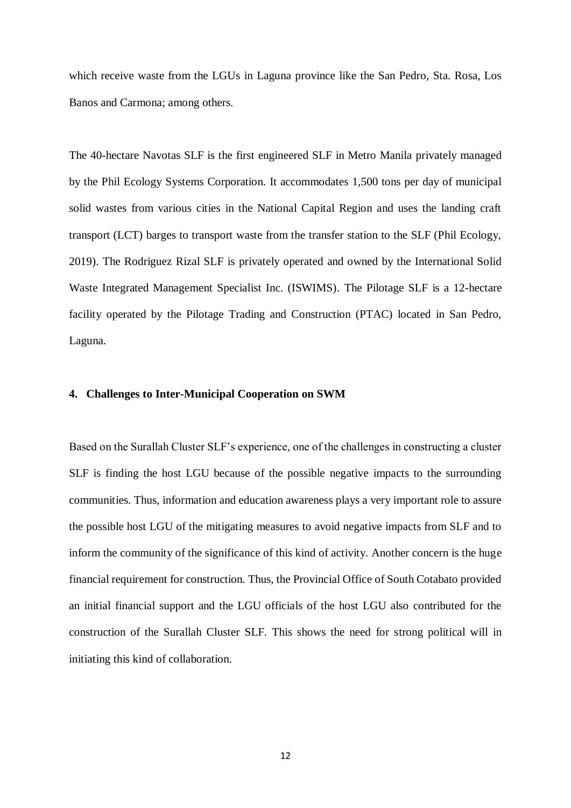which receive waste from the LGUs in Laguna province like the San Pedro, Sta. Rosa, Los Banos and Carmona; among others.

The 40-hectare Navotas SLF is the first engineered SLF in Metro Manila privately managed by the Phil Ecology Systems Corporation. It accommodates 1,500 tons per day of municipal solid wastes from various cities in the National Capital Region and uses the landing craft transport (LCT) barges to transport waste from the transfer station to the SLF (Phil Ecology, 2019). The Rodriguez Rizal SLF is privately operated and owned by the International Solid Waste Integrated Management Specialist Inc. (ISWIMS). The Pilotage SLF is a 12-hectare facility operated by the Pilotage Trading and Construction (PTAC) located in San Pedro, Laguna.

## **4. Challenges to Inter-Municipal Cooperation on SWM**

Based on the Surallah Cluster SLF's experience, one of the challenges in constructing a cluster SLF is finding the host LGU because of the possible negative impacts to the surrounding communities. Thus, information and education awareness plays a very important role to assure the possible host LGU of the mitigating measures to avoid negative impacts from SLF and to inform the community of the significance of this kind of activity. Another concern is the huge financial requirement for construction. Thus, the Provincial Office of South Cotabato provided an initial financial support and the LGU officials of the host LGU also contributed for the construction of the Surallah Cluster SLF. This shows the need for strong political will in initiating this kind of collaboration.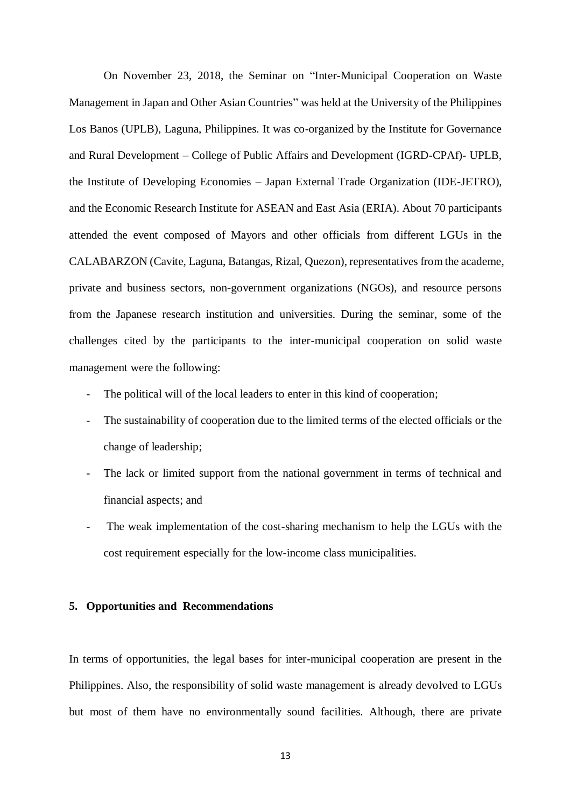On November 23, 2018, the Seminar on "Inter-Municipal Cooperation on Waste Management in Japan and Other Asian Countries" was held at the University of the Philippines Los Banos (UPLB), Laguna, Philippines. It was co-organized by the Institute for Governance and Rural Development – College of Public Affairs and Development (IGRD-CPAf)- UPLB, the Institute of Developing Economies – Japan External Trade Organization (IDE-JETRO), and the Economic Research Institute for ASEAN and East Asia (ERIA). About 70 participants attended the event composed of Mayors and other officials from different LGUs in the CALABARZON (Cavite, Laguna, Batangas, Rizal, Quezon), representatives from the academe, private and business sectors, non-government organizations (NGOs), and resource persons from the Japanese research institution and universities. During the seminar, some of the challenges cited by the participants to the inter-municipal cooperation on solid waste management were the following:

- The political will of the local leaders to enter in this kind of cooperation;
- The sustainability of cooperation due to the limited terms of the elected officials or the change of leadership;
- The lack or limited support from the national government in terms of technical and financial aspects; and
- The weak implementation of the cost-sharing mechanism to help the LGUs with the cost requirement especially for the low-income class municipalities.

## **5. Opportunities and Recommendations**

In terms of opportunities, the legal bases for inter-municipal cooperation are present in the Philippines. Also, the responsibility of solid waste management is already devolved to LGUs but most of them have no environmentally sound facilities. Although, there are private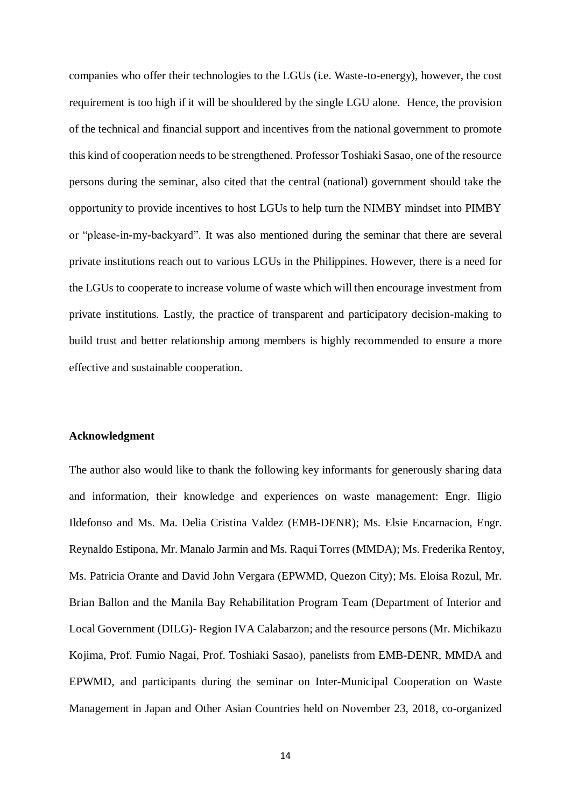companies who offer their technologies to the LGUs (i.e. Waste-to-energy), however, the cost requirement is too high if it will be shouldered by the single LGU alone. Hence, the provision of the technical and financial support and incentives from the national government to promote this kind of cooperation needs to be strengthened. Professor Toshiaki Sasao, one of the resource persons during the seminar, also cited that the central (national) government should take the opportunity to provide incentives to host LGUs to help turn the NIMBY mindset into PIMBY or "please-in-my-backyard". It was also mentioned during the seminar that there are several private institutions reach out to various LGUs in the Philippines. However, there is a need for the LGUs to cooperate to increase volume of waste which will then encourage investment from private institutions. Lastly, the practice of transparent and participatory decision-making to build trust and better relationship among members is highly recommended to ensure a more effective and sustainable cooperation.

#### **Acknowledgment**

The author also would like to thank the following key informants for generously sharing data and information, their knowledge and experiences on waste management: Engr. Iligio Ildefonso and Ms. Ma. Delia Cristina Valdez (EMB-DENR); Ms. Elsie Encarnacion, Engr. Reynaldo Estipona, Mr. Manalo Jarmin and Ms. Raqui Torres (MMDA); Ms. Frederika Rentoy, Ms. Patricia Orante and David John Vergara (EPWMD, Quezon City); Ms. Eloisa Rozul, Mr. Brian Ballon and the Manila Bay Rehabilitation Program Team (Department of Interior and Local Government (DILG)- Region IVA Calabarzon; and the resource persons (Mr. Michikazu Kojima, Prof. Fumio Nagai, Prof. Toshiaki Sasao), panelists from EMB-DENR, MMDA and EPWMD, and participants during the seminar on Inter-Municipal Cooperation on Waste Management in Japan and Other Asian Countries held on November 23, 2018, co-organized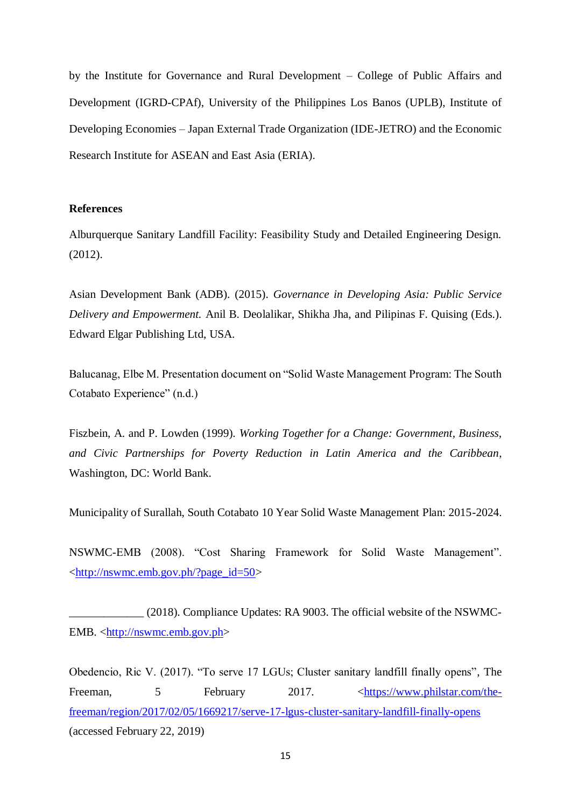by the Institute for Governance and Rural Development – College of Public Affairs and Development (IGRD-CPAf), University of the Philippines Los Banos (UPLB), Institute of Developing Economies – Japan External Trade Organization (IDE-JETRO) and the Economic Research Institute for ASEAN and East Asia (ERIA).

## **References**

Alburquerque Sanitary Landfill Facility: Feasibility Study and Detailed Engineering Design. (2012).

Asian Development Bank (ADB). (2015). *Governance in Developing Asia: Public Service Delivery and Empowerment.* Anil B. Deolalikar, Shikha Jha, and Pilipinas F. Quising (Eds.). Edward Elgar Publishing Ltd, USA.

Balucanag, Elbe M. Presentation document on "Solid Waste Management Program: The South Cotabato Experience" (n.d.)

Fiszbein, A. and P. Lowden (1999). *Working Together for a Change: Government, Business, and Civic Partnerships for Poverty Reduction in Latin America and the Caribbean*, Washington, DC: World Bank.

Municipality of Surallah, South Cotabato 10 Year Solid Waste Management Plan: 2015-2024.

NSWMC-EMB (2008). "Cost Sharing Framework for Solid Waste Management". [<http://nswmc.emb.gov.ph/?page\\_id=50>](http://nswmc.emb.gov.ph/?page_id=50)

\_\_\_\_\_\_\_\_\_\_\_\_\_ (2018). Compliance Updates: RA 9003. The official website of the NSWMC-EMB. [<http://nswmc.emb.gov.ph>](http://nswmc.emb.gov.ph/)

Obedencio, Ric V. (2017). "To serve 17 LGUs; Cluster sanitary landfill finally opens", The Freeman, 5 February 2017.  $\leq \frac{\text{https://www.philstar.com/the-}}{\text{https://www.philstar.com/the-}}$ [freeman/region/2017/02/05/1669217/serve-17-lgus-cluster-sanitary-landfill-finally-opens](https://www.philstar.com/the-freeman/region/2017/02/05/1669217/serve-17-lgus-cluster-sanitary-landfill-finally-opens) (accessed February 22, 2019)